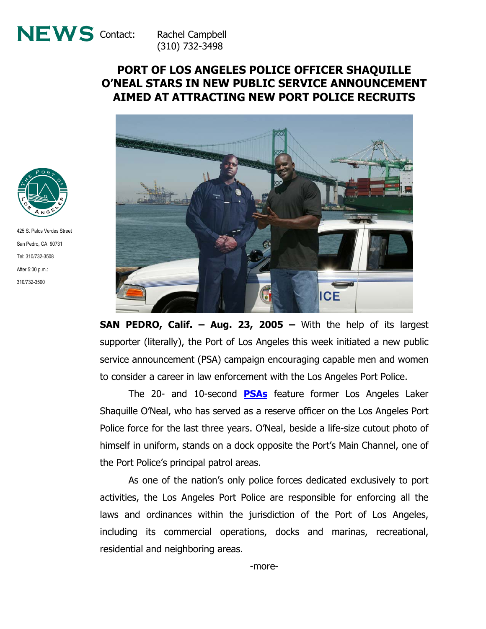

(310) 732-3498

## **PORT OF LOS ANGELES POLICE OFFICER SHAQUILLE O'NEAL STARS IN NEW PUBLIC SERVICE ANNOUNCEMENT AIMED AT ATTRACTING NEW PORT POLICE RECRUITS**



**SAN PEDRO, Calif. – Aug. 23, 2005 –** With the help of its largest supporter (literally), the Port of Los Angeles this week initiated a new public service announcement (PSA) campaign encouraging capable men and women to consider a career in law enforcement with the Los Angeles Port Police.

The 20- and 10-second **[PSAs](http://www.portoflosangeles.org/newsroom_video.htm)** feature former Los Angeles Laker Shaquille O'Neal, who has served as a reserve officer on the Los Angeles Port Police force for the last three years. O'Neal, beside a life-size cutout photo of himself in uniform, stands on a dock opposite the Port's Main Channel, one of the Port Police's principal patrol areas.

As one of the nation's only police forces dedicated exclusively to port activities, the Los Angeles Port Police are responsible for enforcing all the laws and ordinances within the jurisdiction of the Port of Los Angeles, including its commercial operations, docks and marinas, recreational, residential and neighboring areas.



425 S. Palos Verdes Street San Pedro, CA 90731 Tel: 310/732-3508 After 5:00 p.m.: 310/732-3500